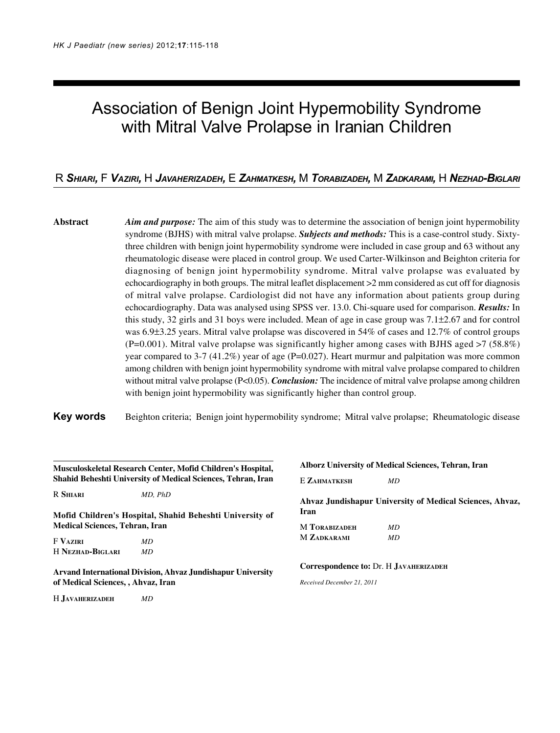# Association of Benign Joint Hypermobility Syndrome with Mitral Valve Prolapse in Iranian Children

# R *SHIARI,* F *VAZIRI,* H *JAVAHERIZADEH,* E *ZAHMATKESH,* M *TORABIZADEH,* M *ZADKARAMI,* H *NEZHAD-BIGLARI*

**Abstract** *Aim and purpose:* The aim of this study was to determine the association of benign joint hypermobility syndrome (BJHS) with mitral valve prolapse. *Subjects and methods:* This is a case-control study. Sixtythree children with benign joint hypermobility syndrome were included in case group and 63 without any rheumatologic disease were placed in control group. We used Carter-Wilkinson and Beighton criteria for diagnosing of benign joint hypermobility syndrome. Mitral valve prolapse was evaluated by echocardiography in both groups. The mitral leaflet displacement >2 mm considered as cut off for diagnosis of mitral valve prolapse. Cardiologist did not have any information about patients group during echocardiography. Data was analysed using SPSS ver. 13.0. Chi-square used for comparison. *Results:* In this study, 32 girls and 31 boys were included. Mean of age in case group was 7.1±2.67 and for control was 6.9±3.25 years. Mitral valve prolapse was discovered in 54% of cases and 12.7% of control groups  $($ P=0.001). Mitral valve prolapse was significantly higher among cases with BJHS aged  $>7$  (58.8%) year compared to 3-7 (41.2%) year of age (P=0.027). Heart murmur and palpitation was more common among children with benign joint hypermobility syndrome with mitral valve prolapse compared to children without mitral valve prolapse (P<0.05). *Conclusion:* The incidence of mitral valve prolapse among children with benign joint hypermobility was significantly higher than control group.

**Key words** Beighton criteria; Benign joint hypermobility syndrome; Mitral valve prolapse; Rheumatologic disease

| Musculoskeletal Research Center, Mofid Children's Hospital,<br>Shahid Beheshti University of Medical Sciences, Tehran, Iran |                                                             |  |  |
|-----------------------------------------------------------------------------------------------------------------------------|-------------------------------------------------------------|--|--|
| R Shiari                                                                                                                    | MD. PhD                                                     |  |  |
| Medical Sciences, Tehran, Iran                                                                                              | Mofid Children's Hospital, Shahid Beheshti University of    |  |  |
| F Vaziri                                                                                                                    | МD                                                          |  |  |
| H Nezhad-Biglari                                                                                                            | MD.                                                         |  |  |
| of Medical Sciences, , Ahvaz, Iran                                                                                          | Arvand International Division, Ahvaz Jundishapur University |  |  |
| H JAVAHERIZADEH                                                                                                             | ΜD                                                          |  |  |

# **Alborz University of Medical Sciences, Tehran, Iran** E **ZAHMATKESH** *MD* **Ahvaz Jundishapur University of Medical Sciences, Ahvaz, Iran** M **TORABIZADEH** *MD* M **ZADKARAMI** *MD* **Correspondence to:** Dr. H **JAVAHERIZADEH** *Received December 21, 2011*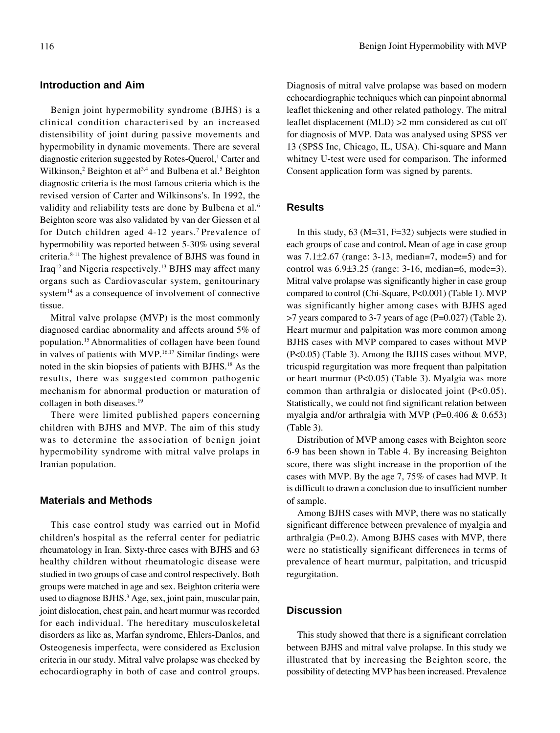#### **Introduction and Aim**

Benign joint hypermobility syndrome (BJHS) is a clinical condition characterised by an increased distensibility of joint during passive movements and hypermobility in dynamic movements. There are several diagnostic criterion suggested by Rotes-Querol,<sup>1</sup> Carter and Wilkinson,<sup>2</sup> Beighton et al<sup>3,4</sup> and Bulbena et al.<sup>5</sup> Beighton diagnostic criteria is the most famous criteria which is the revised version of Carter and Wilkinsons's. In 1992, the validity and reliability tests are done by Bulbena et al.<sup>6</sup> Beighton score was also validated by van der Giessen et al for Dutch children aged 4-12 years.7 Prevalence of hypermobility was reported between 5-30% using several criteria.8-11 The highest prevalence of BJHS was found in Iraq12 and Nigeria respectively.13 BJHS may affect many organs such as Cardiovascular system, genitourinary system<sup>14</sup> as a consequence of involvement of connective tissue.

Mitral valve prolapse (MVP) is the most commonly diagnosed cardiac abnormality and affects around 5% of population.15 Abnormalities of collagen have been found in valves of patients with MVP.16,17 Similar findings were noted in the skin biopsies of patients with BJHS.18 As the results, there was suggested common pathogenic mechanism for abnormal production or maturation of collagen in both diseases.19

There were limited published papers concerning children with BJHS and MVP. The aim of this study was to determine the association of benign joint hypermobility syndrome with mitral valve prolaps in Iranian population.

#### **Materials and Methods**

This case control study was carried out in Mofid children's hospital as the referral center for pediatric rheumatology in Iran. Sixty-three cases with BJHS and 63 healthy children without rheumatologic disease were studied in two groups of case and control respectively. Both groups were matched in age and sex. Beighton criteria were used to diagnose BJHS.<sup>3</sup> Age, sex, joint pain, muscular pain, joint dislocation, chest pain, and heart murmur was recorded for each individual. The hereditary musculoskeletal disorders as like as, Marfan syndrome, Ehlers-Danlos, and Osteogenesis imperfecta, were considered as Exclusion criteria in our study. Mitral valve prolapse was checked by echocardiography in both of case and control groups.

Diagnosis of mitral valve prolapse was based on modern echocardiographic techniques which can pinpoint abnormal leaflet thickening and other related pathology. The mitral leaflet displacement (MLD) >2 mm considered as cut off for diagnosis of MVP*.* Data was analysed using SPSS ver 13 (SPSS Inc, Chicago, IL, USA). Chi-square and Mann whitney U-test were used for comparison. The informed Consent application form was signed by parents.

#### **Results**

In this study, 63 (M=31, F=32) subjects were studied in each groups of case and control**.** Mean of age in case group was  $7.1\pm2.67$  (range: 3-13, median=7, mode=5) and for control was 6.9±3.25 (range: 3-16, median=6, mode=3). Mitral valve prolapse was significantly higher in case group compared to control (Chi-Square, P<0.001) (Table 1). MVP was significantly higher among cases with BJHS aged >7 years compared to 3-7 years of age (P=0.027) (Table 2). Heart murmur and palpitation was more common among BJHS cases with MVP compared to cases without MVP (P<0.05) (Table 3). Among the BJHS cases without MVP, tricuspid regurgitation was more frequent than palpitation or heart murmur (P<0.05) (Table 3). Myalgia was more common than arthralgia or dislocated joint  $(P<0.05)$ . Statistically, we could not find significant relation between myalgia and/or arthralgia with MVP (P=0.406  $&$  0.653) (Table 3).

Distribution of MVP among cases with Beighton score 6-9 has been shown in Table 4. By increasing Beighton score, there was slight increase in the proportion of the cases with MVP. By the age 7, 75% of cases had MVP. It is difficult to drawn a conclusion due to insufficient number of sample.

Among BJHS cases with MVP, there was no statically significant difference between prevalence of myalgia and arthralgia  $(P=0.2)$ . Among BJHS cases with MVP, there were no statistically significant differences in terms of prevalence of heart murmur, palpitation, and tricuspid regurgitation.

### **Discussion**

This study showed that there is a significant correlation between BJHS and mitral valve prolapse. In this study we illustrated that by increasing the Beighton score, the possibility of detecting MVP has been increased. Prevalence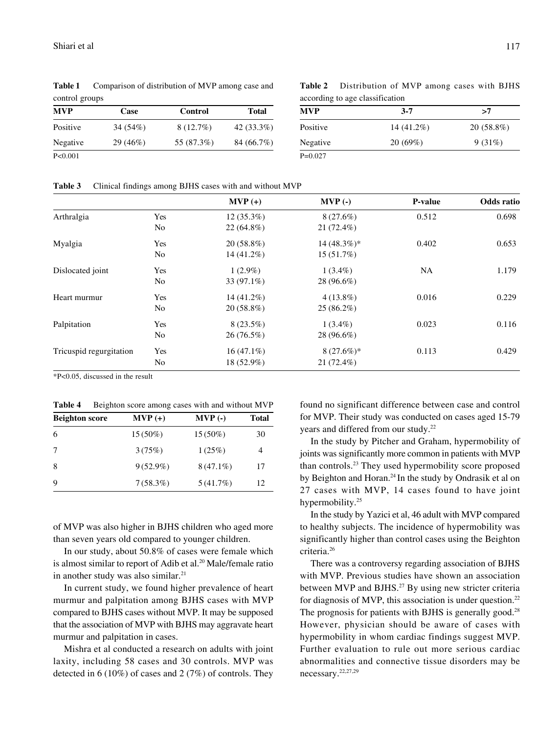**Table 1** Comparison of distribution of MVP among case and control groups

| MVP      | Case       | Control     | <b>Total</b> |
|----------|------------|-------------|--------------|
| Positive | 34 $(54%)$ | $8(12.7\%)$ | $42(33.3\%)$ |
| Negative | 29(46%)    | 55 (87.3%)  | 84 (66.7%)   |
| P<0.001  |            |             |              |

**Table 2** Distribution of MVP among cases with BJHS according to age classification

| $3 - 7$                   | >7           |
|---------------------------|--------------|
| Positive<br>14 $(41.2\%)$ | $20(58.8\%)$ |
| Negative<br>20(69%)       | 9(31%)       |
| $P=0.027$                 |              |

**Table 3** Clinical findings among BJHS cases with and without MVP

|                         |                | $MVP (+)$     | $MVP(-)$      | P-value | <b>Odds</b> ratio |
|-------------------------|----------------|---------------|---------------|---------|-------------------|
| Arthralgia              | Yes            | $12(35.3\%)$  | 8(27.6%)      | 0.512   | 0.698             |
|                         | N <sub>0</sub> | $22(64.8\%)$  | $21(72.4\%)$  |         |                   |
| Myalgia                 | Yes            | $20(58.8\%)$  | $14(48.3\%)*$ | 0.402   | 0.653             |
|                         | No.            | 14 (41.2%)    | $15(51.7\%)$  |         |                   |
| Dislocated joint        | Yes            | $1(2.9\%)$    | $1(3.4\%)$    | NA      | 1.179             |
|                         | N <sub>0</sub> | 33 $(97.1\%)$ | 28 (96.6%)    |         |                   |
| Heart murmur            | Yes            | 14 (41.2%)    | $4(13.8\%)$   | 0.016   | 0.229             |
|                         | N <sub>0</sub> | $20(58.8\%)$  | $25(86.2\%)$  |         |                   |
| Palpitation             | Yes            | $8(23.5\%)$   | $1(3.4\%)$    | 0.023   | 0.116             |
|                         | No.            | $26(76.5\%)$  | 28 (96.6%)    |         |                   |
| Tricuspid regurgitation | Yes            | $16(47.1\%)$  | $8(27.6\%)*$  | 0.113   | 0.429             |
|                         | No.            | 18 (52.9%)    | $21(72.4\%)$  |         |                   |

\*P<0.05, discussed in the result

**Table 4** Beighton score among cases with and without MVP

| <b>Beighton score</b> | $MVP (+)$   | $MVP(-)$    | <b>Total</b> |
|-----------------------|-------------|-------------|--------------|
| 6                     | $15(50\%)$  | $15(50\%)$  | 30           |
|                       | 3(75%)      | 1(25%)      | 4            |
| 8                     | $9(52.9\%)$ | $8(47.1\%)$ | 17           |
| 9                     | 7(58.3%)    | $5(41.7\%)$ | 12           |

of MVP was also higher in BJHS children who aged more than seven years old compared to younger children.

In our study, about 50.8% of cases were female which is almost similar to report of Adib et al.<sup>20</sup> Male/female ratio in another study was also similar.<sup>21</sup>

In current study, we found higher prevalence of heart murmur and palpitation among BJHS cases with MVP compared to BJHS cases without MVP. It may be supposed that the association of MVP with BJHS may aggravate heart murmur and palpitation in cases.

Mishra et al conducted a research on adults with joint laxity, including 58 cases and 30 controls. MVP was detected in 6 (10%) of cases and 2 (7%) of controls. They found no significant difference between case and control for MVP. Their study was conducted on cases aged 15-79 years and differed from our study.<sup>22</sup>

In the study by Pitcher and Graham, hypermobility of joints was significantly more common in patients with MVP than controls.23 They used hypermobility score proposed by Beighton and Horan.<sup>24</sup> In the study by Ondrasik et al on 27 cases with MVP, 14 cases found to have joint hypermobility.<sup>25</sup>

In the study by Yazici et al, 46 adult with MVP compared to healthy subjects. The incidence of hypermobility was significantly higher than control cases using the Beighton criteria.26

There was a controversy regarding association of BJHS with MVP. Previous studies have shown an association between MVP and BJHS.<sup>27</sup> By using new stricter criteria for diagnosis of MVP, this association is under question.<sup>22</sup> The prognosis for patients with BJHS is generally good.<sup>28</sup> However, physician should be aware of cases with hypermobility in whom cardiac findings suggest MVP. Further evaluation to rule out more serious cardiac abnormalities and connective tissue disorders may be necessary.22,27,29